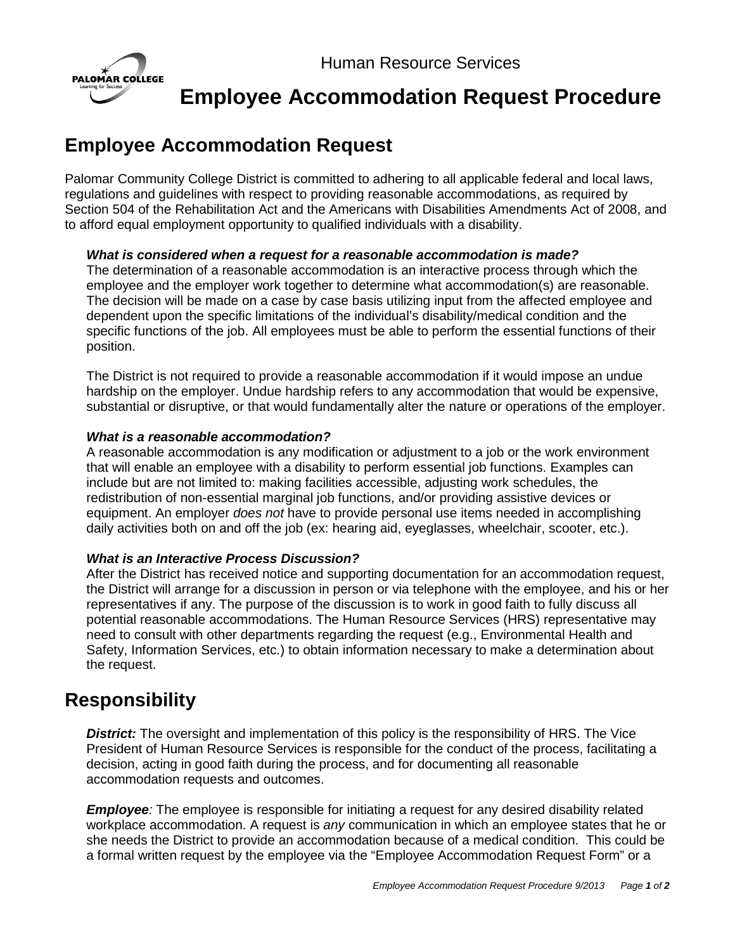

# **Employee Accommodation Request Procedure**

# **Employee Accommodation Request**

Palomar Community College District is committed to adhering to all applicable federal and local laws, regulations and guidelines with respect to providing reasonable accommodations, as required by Section 504 of the Rehabilitation Act and the Americans with Disabilities Amendments Act of 2008, and to afford equal employment opportunity to qualified individuals with a disability.

#### *What is considered when a request for a reasonable accommodation is made?*

The determination of a reasonable accommodation is an interactive process through which the employee and the employer work together to determine what accommodation(s) are reasonable. The decision will be made on a case by case basis utilizing input from the affected employee and dependent upon the specific limitations of the individual's disability/medical condition and the specific functions of the job. All employees must be able to perform the essential functions of their position.

The District is not required to provide a reasonable accommodation if it would impose an undue hardship on the employer. Undue hardship refers to any accommodation that would be expensive, substantial or disruptive, or that would fundamentally alter the nature or operations of the employer.

#### *What is a reasonable accommodation?*

A reasonable accommodation is any modification or adjustment to a job or the work environment that will enable an employee with a disability to perform essential job functions. Examples can include but are not limited to: making facilities accessible, adjusting work schedules, the redistribution of non-essential marginal job functions, and/or providing assistive devices or equipment. An employer *does not* have to provide personal use items needed in accomplishing daily activities both on and off the job (ex: hearing aid, eyeglasses, wheelchair, scooter, etc.).

#### *What is an Interactive Process Discussion?*

After the District has received notice and supporting documentation for an accommodation request, the District will arrange for a discussion in person or via telephone with the employee, and his or her representatives if any. The purpose of the discussion is to work in good faith to fully discuss all potential reasonable accommodations. The Human Resource Services (HRS) representative may need to consult with other departments regarding the request (e.g., Environmental Health and Safety, Information Services, etc.) to obtain information necessary to make a determination about the request.

## **Responsibility**

*District:* The oversight and implementation of this policy is the responsibility of HRS. The Vice President of Human Resource Services is responsible for the conduct of the process, facilitating a decision, acting in good faith during the process, and for documenting all reasonable accommodation requests and outcomes.

*Employee:* The employee is responsible for initiating a request for any desired disability related workplace accommodation. A request is *any* communication in which an employee states that he or she needs the District to provide an accommodation because of a medical condition. This could be a formal written request by the employee via the "Employee Accommodation Request Form" or a